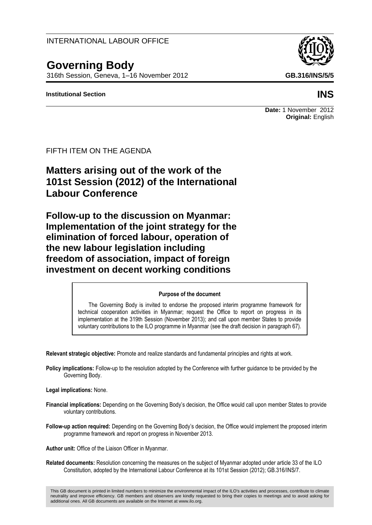INTERNATIONAL LABOUR OFFICE

# **Governing Body**

FIFTH ITEM ON THE AGENDA

**Labour Conference**

316th Session, Geneva, 1–16 November 2012 **GB.316/INS/5/5**

**Matters arising out of the work of the** 

**101st Session (2012) of the International** 

**Follow-up to the discussion on Myanmar: Implementation of the joint strategy for the elimination of forced labour, operation of** 

**freedom of association, impact of foreign investment on decent working conditions**

**the new labour legislation including** 

#### **Institutional Section INS**

## **Purpose of the document**

The Governing Body is invited to endorse the proposed interim programme framework for technical cooperation activities in Myanmar; request the Office to report on progress in its implementation at the 319th Session (November 2013); and call upon member States to provide voluntary contributions to the ILO programme in Myanmar (see the draft decision in paragraph 67).

**Relevant strategic objective:** Promote and realize standards and fundamental principles and rights at work.

**Policy implications:** Follow-up to the resolution adopted by the Conference with further guidance to be provided by the Governing Body.

**Legal implications:** None.

- **Financial implications:** Depending on the Governing Body's decision, the Office would call upon member States to provide voluntary contributions.
- **Follow-up action required:** Depending on the Governing Body's decision, the Office would implement the proposed interim programme framework and report on progress in November 2013.

**Author unit:** Office of the Liaison Officer in Myanmar.

**Related documents:** Resolution concerning the measures on the subject of Myanmar adopted under article 33 of the ILO Constitution, adopted by the International Labour Conference at its 101st Session (2012); GB.316/INS/7.

This GB document is printed in limited numbers to minimize the environmental impact of the ILO's activities and processes, contribute to climate neutrality and improve efficiency. GB members and observers are kindly requested to bring their copies to meetings and to avoid asking for additional ones. All GB documents are available on the Internet at www.ilo.org.

**Date:** 1 November 2012 **Original:** English

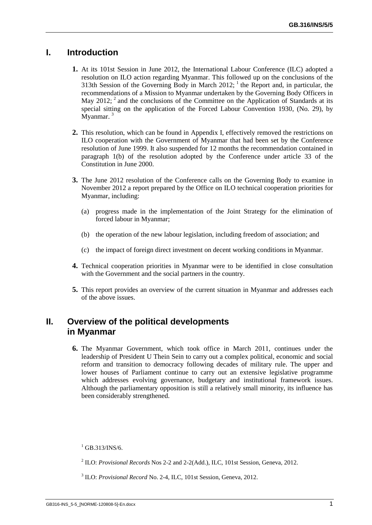## **I. Introduction**

- **1.** At its 101st Session in June 2012, the International Labour Conference (ILC) adopted a resolution on ILO action regarding Myanmar. This followed up on the conclusions of the 313th Session of the Governing Body in March  $2012$ ; <sup>1</sup> the Report and, in particular, the recommendations of a Mission to Myanmar undertaken by the Governing Body Officers in May 2012;  $2$  and the conclusions of the Committee on the Application of Standards at its special sitting on the application of the Forced Labour Convention 1930, (No. 29), by Myanmar.<sup>3</sup>
- **2.** This resolution, which can be found in Appendix I, effectively removed the restrictions on ILO cooperation with the Government of Myanmar that had been set by the Conference resolution of June 1999. It also suspended for 12 months the recommendation contained in paragraph 1(b) of the resolution adopted by the Conference under article 33 of the Constitution in June 2000.
- **3.** The June 2012 resolution of the Conference calls on the Governing Body to examine in November 2012 a report prepared by the Office on ILO technical cooperation priorities for Myanmar, including:
	- (a) progress made in the implementation of the Joint Strategy for the elimination of forced labour in Myanmar;
	- (b) the operation of the new labour legislation, including freedom of association; and
	- (c) the impact of foreign direct investment on decent working conditions in Myanmar.
- **4.** Technical cooperation priorities in Myanmar were to be identified in close consultation with the Government and the social partners in the country.
- **5.** This report provides an overview of the current situation in Myanmar and addresses each of the above issues.

## **II. Overview of the political developments in Myanmar**

**6.** The Myanmar Government, which took office in March 2011, continues under the leadership of President U Thein Sein to carry out a complex political, economic and social reform and transition to democracy following decades of military rule. The upper and lower houses of Parliament continue to carry out an extensive legislative programme which addresses evolving governance, budgetary and institutional framework issues. Although the parliamentary opposition is still a relatively small minority, its influence has been considerably strengthened.

 $1$  GB.313/INS/6.

<sup>2</sup> ILO: *Provisional Records* Nos 2-2 and 2-2(Add.), ILC, 101st Session, Geneva, 2012.

<sup>3</sup> ILO: *Provisional Record* No. 2-4, ILC, 101st Session, Geneva, 2012.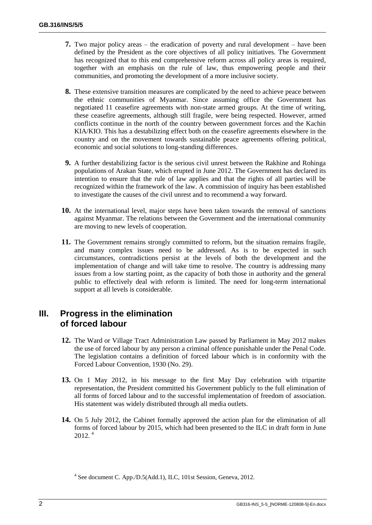- **7.** Two major policy areas the eradication of poverty and rural development have been defined by the President as the core objectives of all policy initiatives. The Government has recognized that to this end comprehensive reform across all policy areas is required, together with an emphasis on the rule of law, thus empowering people and their communities, and promoting the development of a more inclusive society.
- **8.** These extensive transition measures are complicated by the need to achieve peace between the ethnic communities of Myanmar. Since assuming office the Government has negotiated 11 ceasefire agreements with non-state armed groups. At the time of writing, these ceasefire agreements, although still fragile, were being respected. However, armed conflicts continue in the north of the country between government forces and the Kachin KIA/KIO. This has a destabilizing effect both on the ceasefire agreements elsewhere in the country and on the movement towards sustainable peace agreements offering political, economic and social solutions to long-standing differences.
- **9.** A further destabilizing factor is the serious civil unrest between the Rakhine and Rohinga populations of Arakan State, which erupted in June 2012. The Government has declared its intention to ensure that the rule of law applies and that the rights of all parties will be recognized within the framework of the law. A commission of inquiry has been established to investigate the causes of the civil unrest and to recommend a way forward.
- **10.** At the international level, major steps have been taken towards the removal of sanctions against Myanmar. The relations between the Government and the international community are moving to new levels of cooperation.
- **11.** The Government remains strongly committed to reform, but the situation remains fragile, and many complex issues need to be addressed. As is to be expected in such circumstances, contradictions persist at the levels of both the development and the implementation of change and will take time to resolve. The country is addressing many issues from a low starting point, as the capacity of both those in authority and the general public to effectively deal with reform is limited. The need for long-term international support at all levels is considerable.

## **III. Progress in the elimination of forced labour**

- **12.** The Ward or Village Tract Administration Law passed by Parliament in May 2012 makes the use of forced labour by any person a criminal offence punishable under the Penal Code. The legislation contains a definition of forced labour which is in conformity with the Forced Labour Convention, 1930 (No. 29).
- **13.** On 1 May 2012, in his message to the first May Day celebration with tripartite representation, the President committed his Government publicly to the full elimination of all forms of forced labour and to the successful implementation of freedom of association. His statement was widely distributed through all media outlets.
- **14.** On 5 July 2012, the Cabinet formally approved the action plan for the elimination of all forms of forced labour by 2015, which had been presented to the ILC in draft form in June 2012. 4

<sup>4</sup> See document C. App./D.5(Add.1), ILC, 101st Session, Geneva, 2012.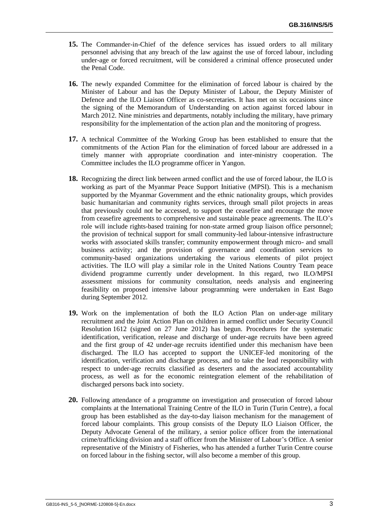- **15.** The Commander-in-Chief of the defence services has issued orders to all military personnel advising that any breach of the law against the use of forced labour, including under-age or forced recruitment, will be considered a criminal offence prosecuted under the Penal Code.
- **16.** The newly expanded Committee for the elimination of forced labour is chaired by the Minister of Labour and has the Deputy Minister of Labour, the Deputy Minister of Defence and the ILO Liaison Officer as co-secretaries. It has met on six occasions since the signing of the Memorandum of Understanding on action against forced labour in March 2012. Nine ministries and departments, notably including the military, have primary responsibility for the implementation of the action plan and the monitoring of progress.
- **17.** A technical Committee of the Working Group has been established to ensure that the commitments of the Action Plan for the elimination of forced labour are addressed in a timely manner with appropriate coordination and inter-ministry cooperation. The Committee includes the ILO programme officer in Yangon.
- **18.** Recognizing the direct link between armed conflict and the use of forced labour, the ILO is working as part of the Myanmar Peace Support Initiative (MPSI). This is a mechanism supported by the Myanmar Government and the ethnic nationality groups, which provides basic humanitarian and community rights services, through small pilot projects in areas that previously could not be accessed, to support the ceasefire and encourage the move from ceasefire agreements to comprehensive and sustainable peace agreements. The ILO's role will include rights-based training for non-state armed group liaison office personnel; the provision of technical support for small community-led labour-intensive infrastructure works with associated skills transfer; community empowerment through micro- and small business activity; and the provision of governance and coordination services to community-based organizations undertaking the various elements of pilot project activities. The ILO will play a similar role in the United Nations Country Team peace dividend programme currently under development. In this regard, two ILO/MPSI assessment missions for community consultation, needs analysis and engineering feasibility on proposed intensive labour programming were undertaken in East Bago during September 2012.
- **19.** Work on the implementation of both the ILO Action Plan on under-age military recruitment and the Joint Action Plan on children in armed conflict under Security Council Resolution 1612 (signed on 27 June 2012) has begun. Procedures for the systematic identification, verification, release and discharge of under-age recruits have been agreed and the first group of 42 under-age recruits identified under this mechanism have been discharged. The ILO has accepted to support the UNICEF-led monitoring of the identification, verification and discharge process, and to take the lead responsibility with respect to under-age recruits classified as deserters and the associated accountability process, as well as for the economic reintegration element of the rehabilitation of discharged persons back into society.
- **20.** Following attendance of a programme on investigation and prosecution of forced labour complaints at the International Training Centre of the ILO in Turin (Turin Centre), a focal group has been established as the day-to-day liaison mechanism for the management of forced labour complaints. This group consists of the Deputy ILO Liaison Officer, the Deputy Advocate General of the military, a senior police officer from the international crime/trafficking division and a staff officer from the Minister of Labour's Office. A senior representative of the Ministry of Fisheries, who has attended a further Turin Centre course on forced labour in the fishing sector, will also become a member of this group.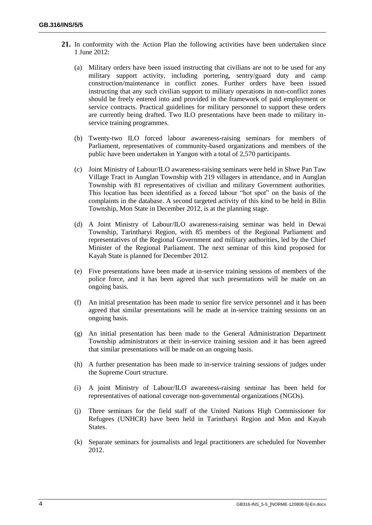- **21.** In conformity with the Action Plan the following activities have been undertaken since 1 June 2012:
	- (a) Military orders have been issued instructing that civilians are not to be used for any military support activity, including portering, sentry/guard duty and camp construction/maintenance in conflict zones. Further orders have been issued instructing that any such civilian support to military operations in non-conflict zones should be freely entered into and provided in the framework of paid employment or service contracts. Practical guidelines for military personnel to support these orders are currently being drafted. Two ILO presentations have been made to military inservice training programmes.
	- (b) Twenty-two ILO forced labour awareness-raising seminars for members of Parliament, representatives of community-based organizations and members of the public have been undertaken in Yangon with a total of 2,570 participants.
	- (c) Joint Ministry of Labour/ILO awareness-raising seminars were held in Shwe Pan Taw Village Tract in Aunglan Township with 219 villagers in attendance, and in Aunglan Township with 81 representatives of civilian and military Government authorities. This location has been identified as a forced labour "hot spot" on the basis of the complaints in the database. A second targeted activity of this kind to be held in Bilin Township, Mon State in December 2012, is at the planning stage.
	- (d) A Joint Ministry of Labour/ILO awareness-raising seminar was held in Dewai Township, Tarintharyi Region, with 85 members of the Regional Parliament and representatives of the Regional Government and military authorities, led by the Chief Minister of the Regional Parliament. The next seminar of this kind proposed for Kayah State is planned for December 2012.
	- (e) Five presentations have been made at in-service training sessions of members of the police force, and it has been agreed that such presentations will be made on an ongoing basis.
	- (f) An initial presentation has been made to senior fire service personnel and it has been agreed that similar presentations will be made at in-service training sessions on an ongoing basis.
	- (g) An initial presentation has been made to the General Administration Department Township administrators at their in-service training session and it has been agreed that similar presentations will be made on an ongoing basis.
	- (h) A further presentation has been made to in-service training sessions of judges under the Supreme Court structure.
	- (i) A joint Ministry of Labour/ILO awareness-raising seminar has been held for representatives of national coverage non-governmental organizations (NGOs).
	- (j) Three seminars for the field staff of the United Nations High Commissioner for Refugees (UNHCR) have been held in Tarintharyi Region and Mon and Kayah States.
	- (k) Separate seminars for journalists and legal practitioners are scheduled for November 2012.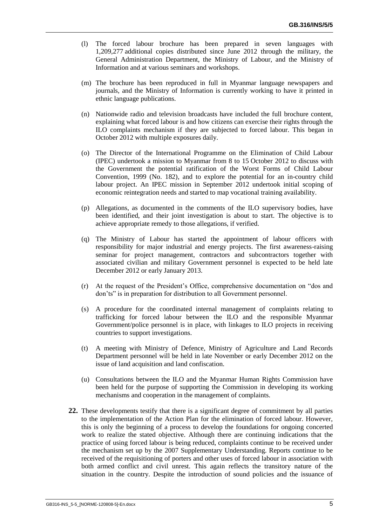- (l) The forced labour brochure has been prepared in seven languages with 1,209,277 additional copies distributed since June 2012 through the military, the General Administration Department, the Ministry of Labour, and the Ministry of Information and at various seminars and workshops.
- (m) The brochure has been reproduced in full in Myanmar language newspapers and journals, and the Ministry of Information is currently working to have it printed in ethnic language publications.
- (n) Nationwide radio and television broadcasts have included the full brochure content, explaining what forced labour is and how citizens can exercise their rights through the ILO complaints mechanism if they are subjected to forced labour. This began in October 2012 with multiple exposures daily.
- (o) The Director of the International Programme on the Elimination of Child Labour (IPEC) undertook a mission to Myanmar from 8 to 15 October 2012 to discuss with the Government the potential ratification of the Worst Forms of Child Labour Convention, 1999 (No. 182), and to explore the potential for an in-country child labour project. An IPEC mission in September 2012 undertook initial scoping of economic reintegration needs and started to map vocational training availability.
- (p) Allegations, as documented in the comments of the ILO supervisory bodies, have been identified, and their joint investigation is about to start. The objective is to achieve appropriate remedy to those allegations, if verified.
- (q) The Ministry of Labour has started the appointment of labour officers with responsibility for major industrial and energy projects. The first awareness-raising seminar for project management, contractors and subcontractors together with associated civilian and military Government personnel is expected to be held late December 2012 or early January 2013.
- (r) At the request of the President's Office, comprehensive documentation on "dos and don'ts" is in preparation for distribution to all Government personnel.
- (s) A procedure for the coordinated internal management of complaints relating to trafficking for forced labour between the ILO and the responsible Myanmar Government/police personnel is in place, with linkages to ILO projects in receiving countries to support investigations.
- (t) A meeting with Ministry of Defence, Ministry of Agriculture and Land Records Department personnel will be held in late November or early December 2012 on the issue of land acquisition and land confiscation.
- (u) Consultations between the ILO and the Myanmar Human Rights Commission have been held for the purpose of supporting the Commission in developing its working mechanisms and cooperation in the management of complaints.
- **22.** These developments testify that there is a significant degree of commitment by all parties to the implementation of the Action Plan for the elimination of forced labour. However, this is only the beginning of a process to develop the foundations for ongoing concerted work to realize the stated objective. Although there are continuing indications that the practice of using forced labour is being reduced, complaints continue to be received under the mechanism set up by the 2007 Supplementary Understanding. Reports continue to be received of the requisitioning of porters and other uses of forced labour in association with both armed conflict and civil unrest. This again reflects the transitory nature of the situation in the country. Despite the introduction of sound policies and the issuance of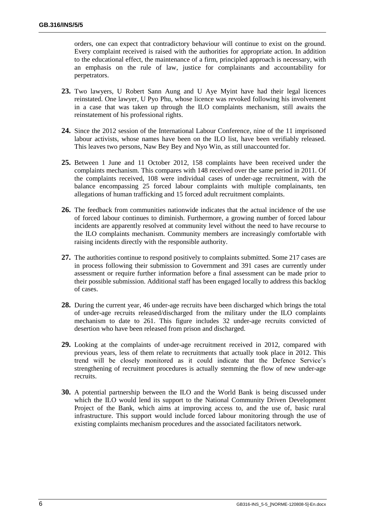orders, one can expect that contradictory behaviour will continue to exist on the ground. Every complaint received is raised with the authorities for appropriate action. In addition to the educational effect, the maintenance of a firm, principled approach is necessary, with an emphasis on the rule of law, justice for complainants and accountability for perpetrators.

- **23.** Two lawyers, U Robert Sann Aung and U Aye Myint have had their legal licences reinstated. One lawyer, U Pyo Phu, whose licence was revoked following his involvement in a case that was taken up through the ILO complaints mechanism, still awaits the reinstatement of his professional rights.
- **24.** Since the 2012 session of the International Labour Conference, nine of the 11 imprisoned labour activists, whose names have been on the ILO list, have been verifiably released. This leaves two persons, Naw Bey Bey and Nyo Win, as still unaccounted for.
- **25.** Between 1 June and 11 October 2012, 158 complaints have been received under the complaints mechanism. This compares with 148 received over the same period in 2011. Of the complaints received, 108 were individual cases of under-age recruitment, with the balance encompassing 25 forced labour complaints with multiple complainants, ten allegations of human trafficking and 15 forced adult recruitment complaints.
- **26.** The feedback from communities nationwide indicates that the actual incidence of the use of forced labour continues to diminish. Furthermore, a growing number of forced labour incidents are apparently resolved at community level without the need to have recourse to the ILO complaints mechanism. Community members are increasingly comfortable with raising incidents directly with the responsible authority.
- **27.** The authorities continue to respond positively to complaints submitted. Some 217 cases are in process following their submission to Government and 391 cases are currently under assessment or require further information before a final assessment can be made prior to their possible submission. Additional staff has been engaged locally to address this backlog of cases.
- **28.** During the current year, 46 under-age recruits have been discharged which brings the total of under-age recruits released/discharged from the military under the ILO complaints mechanism to date to 261. This figure includes 32 under-age recruits convicted of desertion who have been released from prison and discharged.
- **29.** Looking at the complaints of under-age recruitment received in 2012, compared with previous years, less of them relate to recruitments that actually took place in 2012. This trend will be closely monitored as it could indicate that the Defence Service's strengthening of recruitment procedures is actually stemming the flow of new under-age recruits.
- **30.** A potential partnership between the ILO and the World Bank is being discussed under which the ILO would lend its support to the National Community Driven Development Project of the Bank, which aims at improving access to, and the use of, basic rural infrastructure. This support would include forced labour monitoring through the use of existing complaints mechanism procedures and the associated facilitators network.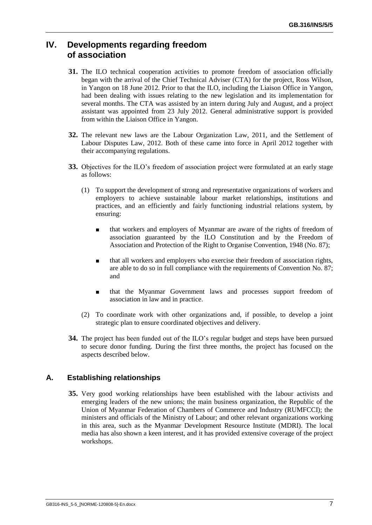## **IV. Developments regarding freedom of association**

- **31.** The ILO technical cooperation activities to promote freedom of association officially began with the arrival of the Chief Technical Adviser (CTA) for the project, Ross Wilson, in Yangon on 18 June 2012. Prior to that the ILO, including the Liaison Office in Yangon, had been dealing with issues relating to the new legislation and its implementation for several months. The CTA was assisted by an intern during July and August, and a project assistant was appointed from 23 July 2012. General administrative support is provided from within the Liaison Office in Yangon.
- **32.** The relevant new laws are the Labour Organization Law, 2011, and the Settlement of Labour Disputes Law, 2012. Both of these came into force in April 2012 together with their accompanying regulations.
- **33.** Objectives for the ILO's freedom of association project were formulated at an early stage as follows:
	- (1) To support the development of strong and representative organizations of workers and employers to achieve sustainable labour market relationships, institutions and practices, and an efficiently and fairly functioning industrial relations system, by ensuring:
		- that workers and employers of Myanmar are aware of the rights of freedom of association guaranteed by the ILO Constitution and by the Freedom of Association and Protection of the Right to Organise Convention, 1948 (No. 87);
		- that all workers and employers who exercise their freedom of association rights, are able to do so in full compliance with the requirements of Convention No. 87; and
		- that the Myanmar Government laws and processes support freedom of association in law and in practice.
	- (2) To coordinate work with other organizations and, if possible, to develop a joint strategic plan to ensure coordinated objectives and delivery.
- **34.** The project has been funded out of the ILO's regular budget and steps have been pursued to secure donor funding. During the first three months, the project has focused on the aspects described below.

#### **A. Establishing relationships**

**35.** Very good working relationships have been established with the labour activists and emerging leaders of the new unions; the main business organization, the Republic of the Union of Myanmar Federation of Chambers of Commerce and Industry (RUMFCCI); the ministers and officials of the Ministry of Labour; and other relevant organizations working in this area, such as the Myanmar Development Resource Institute (MDRI). The local media has also shown a keen interest, and it has provided extensive coverage of the project workshops.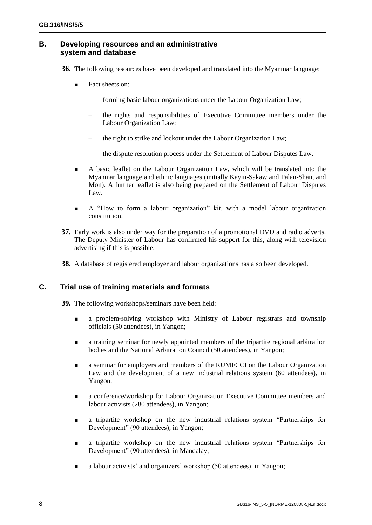#### **B. Developing resources and an administrative system and database**

**36.** The following resources have been developed and translated into the Myanmar language:

- Fact sheets on:
	- forming basic labour organizations under the Labour Organization Law;
	- the rights and responsibilities of Executive Committee members under the Labour Organization Law;
	- the right to strike and lockout under the Labour Organization Law;
	- the dispute resolution process under the Settlement of Labour Disputes Law.
- A basic leaflet on the Labour Organization Law, which will be translated into the Myanmar language and ethnic languages (initially Kayin-Sakaw and Palan-Shan, and Mon). A further leaflet is also being prepared on the Settlement of Labour Disputes Law.
- A "How to form a labour organization" kit, with a model labour organization constitution.
- **37.** Early work is also under way for the preparation of a promotional DVD and radio adverts. The Deputy Minister of Labour has confirmed his support for this, along with television advertising if this is possible.
- **38.** A database of registered employer and labour organizations has also been developed.

#### **C. Trial use of training materials and formats**

**39.** The following workshops/seminars have been held:

- a problem-solving workshop with Ministry of Labour registrars and township officials (50 attendees), in Yangon;
- a training seminar for newly appointed members of the tripartite regional arbitration bodies and the National Arbitration Council (50 attendees), in Yangon;
- a seminar for employers and members of the RUMFCCI on the Labour Organization Law and the development of a new industrial relations system (60 attendees), in Yangon;
- a conference/workshop for Labour Organization Executive Committee members and labour activists (280 attendees), in Yangon;
- a tripartite workshop on the new industrial relations system "Partnerships for Development" (90 attendees), in Yangon;
- a tripartite workshop on the new industrial relations system "Partnerships for Development" (90 attendees), in Mandalay;
- a labour activists' and organizers' workshop (50 attendees), in Yangon;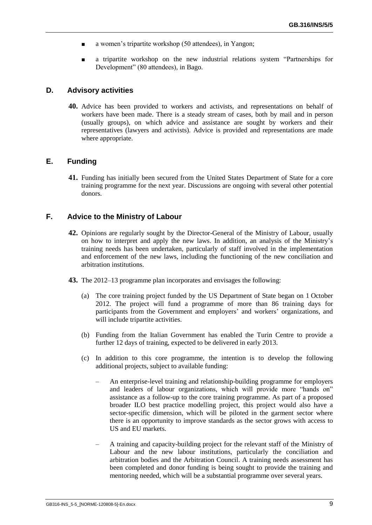- a women's tripartite workshop (50 attendees), in Yangon;
- a tripartite workshop on the new industrial relations system "Partnerships for Development" (80 attendees), in Bago.

#### **D. Advisory activities**

**40.** Advice has been provided to workers and activists, and representations on behalf of workers have been made. There is a steady stream of cases, both by mail and in person (usually groups), on which advice and assistance are sought by workers and their representatives (lawyers and activists). Advice is provided and representations are made where appropriate.

#### **E. Funding**

**41.** Funding has initially been secured from the United States Department of State for a core training programme for the next year. Discussions are ongoing with several other potential donors.

#### **F. Advice to the Ministry of Labour**

- **42.** Opinions are regularly sought by the Director-General of the Ministry of Labour, usually on how to interpret and apply the new laws. In addition, an analysis of the Ministry's training needs has been undertaken, particularly of staff involved in the implementation and enforcement of the new laws, including the functioning of the new conciliation and arbitration institutions.
- **43.** The 2012–13 programme plan incorporates and envisages the following:
	- (a) The core training project funded by the US Department of State began on 1 October 2012. The project will fund a programme of more than 86 training days for participants from the Government and employers' and workers' organizations, and will include tripartite activities.
	- (b) Funding from the Italian Government has enabled the Turin Centre to provide a further 12 days of training, expected to be delivered in early 2013.
	- (c) In addition to this core programme, the intention is to develop the following additional projects, subject to available funding:
		- An enterprise-level training and relationship-building programme for employers and leaders of labour organizations, which will provide more "hands on" assistance as a follow-up to the core training programme. As part of a proposed broader ILO best practice modelling project, this project would also have a sector-specific dimension, which will be piloted in the garment sector where there is an opportunity to improve standards as the sector grows with access to US and EU markets.
		- A training and capacity-building project for the relevant staff of the Ministry of Labour and the new labour institutions, particularly the conciliation and arbitration bodies and the Arbitration Council. A training needs assessment has been completed and donor funding is being sought to provide the training and mentoring needed, which will be a substantial programme over several years.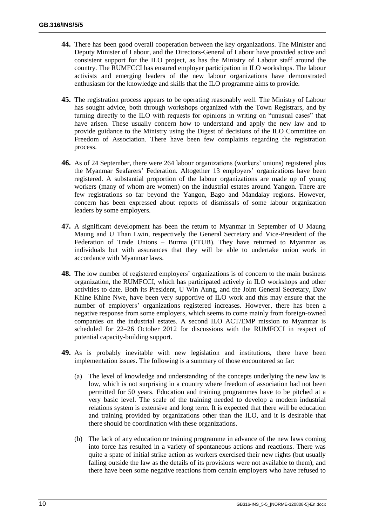- **44.** There has been good overall cooperation between the key organizations. The Minister and Deputy Minister of Labour, and the Directors-General of Labour have provided active and consistent support for the ILO project, as has the Ministry of Labour staff around the country. The RUMFCCI has ensured employer participation in ILO workshops. The labour activists and emerging leaders of the new labour organizations have demonstrated enthusiasm for the knowledge and skills that the ILO programme aims to provide.
- **45.** The registration process appears to be operating reasonably well. The Ministry of Labour has sought advice, both through workshops organized with the Town Registrars, and by turning directly to the ILO with requests for opinions in writing on "unusual cases" that have arisen. These usually concern how to understand and apply the new law and to provide guidance to the Ministry using the Digest of decisions of the ILO Committee on Freedom of Association. There have been few complaints regarding the registration process.
- **46.** As of 24 September, there were 264 labour organizations (workers' unions) registered plus the Myanmar Seafarers' Federation. Altogether 13 employers' organizations have been registered. A substantial proportion of the labour organizations are made up of young workers (many of whom are women) on the industrial estates around Yangon. There are few registrations so far beyond the Yangon, Bago and Mandalay regions. However, concern has been expressed about reports of dismissals of some labour organization leaders by some employers.
- **47.** A significant development has been the return to Myanmar in September of U Maung Maung and U Than Lwin, respectively the General Secretary and Vice-President of the Federation of Trade Unions – Burma (FTUB). They have returned to Myanmar as individuals but with assurances that they will be able to undertake union work in accordance with Myanmar laws.
- **48.** The low number of registered employers' organizations is of concern to the main business organization, the RUMFCCI, which has participated actively in ILO workshops and other activities to date. Both its President, U Win Aung, and the Joint General Secretary, Daw Khine Khine Nwe, have been very supportive of ILO work and this may ensure that the number of employers' organizations registered increases. However, there has been a negative response from some employers, which seems to come mainly from foreign-owned companies on the industrial estates. A second ILO ACT/EMP mission to Myanmar is scheduled for 22–26 October 2012 for discussions with the RUMFCCI in respect of potential capacity-building support.
- **49.** As is probably inevitable with new legislation and institutions, there have been implementation issues. The following is a summary of those encountered so far:
	- (a) The level of knowledge and understanding of the concepts underlying the new law is low, which is not surprising in a country where freedom of association had not been permitted for 50 years. Education and training programmes have to be pitched at a very basic level. The scale of the training needed to develop a modern industrial relations system is extensive and long term. It is expected that there will be education and training provided by organizations other than the ILO, and it is desirable that there should be coordination with these organizations.
	- (b) The lack of any education or training programme in advance of the new laws coming into force has resulted in a variety of spontaneous actions and reactions. There was quite a spate of initial strike action as workers exercised their new rights (but usually falling outside the law as the details of its provisions were not available to them), and there have been some negative reactions from certain employers who have refused to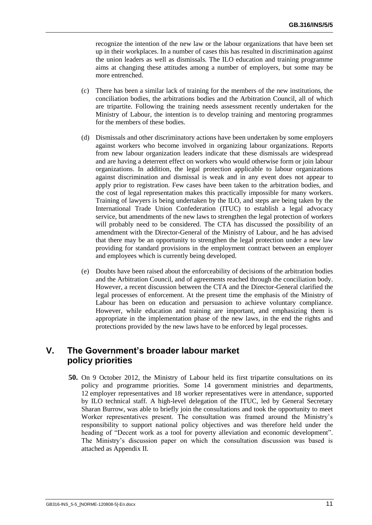recognize the intention of the new law or the labour organizations that have been set up in their workplaces. In a number of cases this has resulted in discrimination against the union leaders as well as dismissals. The ILO education and training programme aims at changing these attitudes among a number of employers, but some may be more entrenched.

- (c) There has been a similar lack of training for the members of the new institutions, the conciliation bodies, the arbitrations bodies and the Arbitration Council, all of which are tripartite. Following the training needs assessment recently undertaken for the Ministry of Labour, the intention is to develop training and mentoring programmes for the members of these bodies.
- (d) Dismissals and other discriminatory actions have been undertaken by some employers against workers who become involved in organizing labour organizations. Reports from new labour organization leaders indicate that these dismissals are widespread and are having a deterrent effect on workers who would otherwise form or join labour organizations. In addition, the legal protection applicable to labour organizations against discrimination and dismissal is weak and in any event does not appear to apply prior to registration. Few cases have been taken to the arbitration bodies, and the cost of legal representation makes this practically impossible for many workers. Training of lawyers is being undertaken by the ILO, and steps are being taken by the International Trade Union Confederation (ITUC) to establish a legal advocacy service, but amendments of the new laws to strengthen the legal protection of workers will probably need to be considered. The CTA has discussed the possibility of an amendment with the Director-General of the Ministry of Labour, and he has advised that there may be an opportunity to strengthen the legal protection under a new law providing for standard provisions in the employment contract between an employer and employees which is currently being developed.
- (e) Doubts have been raised about the enforceability of decisions of the arbitration bodies and the Arbitration Council, and of agreements reached through the conciliation body. However, a recent discussion between the CTA and the Director-General clarified the legal processes of enforcement. At the present time the emphasis of the Ministry of Labour has been on education and persuasion to achieve voluntary compliance. However, while education and training are important, and emphasizing them is appropriate in the implementation phase of the new laws, in the end the rights and protections provided by the new laws have to be enforced by legal processes.

## **V. The Government's broader labour market policy priorities**

**50.** On 9 October 2012, the Ministry of Labour held its first tripartite consultations on its policy and programme priorities. Some 14 government ministries and departments, 12 employer representatives and 18 worker representatives were in attendance, supported by ILO technical staff. A high-level delegation of the ITUC, led by General Secretary Sharan Burrow, was able to briefly join the consultations and took the opportunity to meet Worker representatives present. The consultation was framed around the Ministry's responsibility to support national policy objectives and was therefore held under the heading of "Decent work as a tool for poverty alleviation and economic development". The Ministry's discussion paper on which the consultation discussion was based is attached as Appendix II.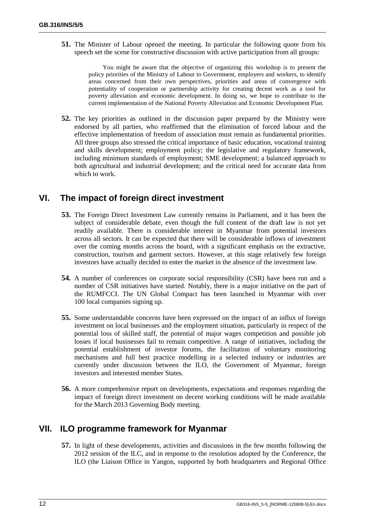**51.** The Minister of Labour opened the meeting. In particular the following quote from his speech set the scene for constructive discussion with active participation from all groups:

> You might be aware that the objective of organizing this workshop is to present the policy priorities of the Ministry of Labour to Government, employers and workers, to identify areas concerned from their own perspectives, priorities and areas of convergence with potentiality of cooperation or partnership activity for creating decent work as a tool for poverty alleviation and economic development. In doing so, we hope to contribute to the current implementation of the National Poverty Alleviation and Economic Development Plan.

**52.** The key priorities as outlined in the discussion paper prepared by the Ministry were endorsed by all parties, who reaffirmed that the elimination of forced labour and the effective implementation of freedom of association must remain as fundamental priorities. All three groups also stressed the critical importance of basic education, vocational training and skills development; employment policy; the legislative and regulatory framework, including minimum standards of employment; SME development; a balanced approach to both agricultural and industrial development; and the critical need for accurate data from which to work.

## **VI. The impact of foreign direct investment**

- **53.** The Foreign Direct Investment Law currently remains in Parliament, and it has been the subject of considerable debate, even though the full content of the draft law is not yet readily available. There is considerable interest in Myanmar from potential investors across all sectors. It can be expected that there will be considerable inflows of investment over the coming months across the board, with a significant emphasis on the extractive, construction, tourism and garment sectors. However, at this stage relatively few foreign investors have actually decided to enter the market in the absence of the investment law.
- **54.** A number of conferences on corporate social responsibility (CSR) have been run and a number of CSR initiatives have started. Notably, there is a major initiative on the part of the RUMFCCI. The UN Global Compact has been launched in Myanmar with over 100 local companies signing up.
- **55.** Some understandable concerns have been expressed on the impact of an influx of foreign investment on local businesses and the employment situation, particularly in respect of the potential loss of skilled staff, the potential of major wages competition and possible job losses if local businesses fail to remain competitive. A range of initiatives, including the potential establishment of investor forums, the facilitation of voluntary monitoring mechanisms and full best practice modelling in a selected industry or industries are currently under discussion between the ILO, the Government of Myanmar, foreign investors and interested member States.
- **56.** A more comprehensive report on developments, expectations and responses regarding the impact of foreign direct investment on decent working conditions will be made available for the March 2013 Governing Body meeting.

## **VII. ILO programme framework for Myanmar**

**57.** In light of these developments, activities and discussions in the few months following the 2012 session of the ILC, and in response to the resolution adopted by the Conference, the ILO (the Liaison Office in Yangon, supported by both headquarters and Regional Office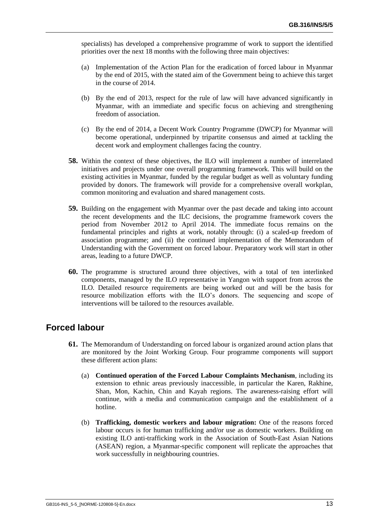specialists) has developed a comprehensive programme of work to support the identified priorities over the next 18 months with the following three main objectives:

- (a) Implementation of the Action Plan for the eradication of forced labour in Myanmar by the end of 2015, with the stated aim of the Government being to achieve this target in the course of 2014.
- (b) By the end of 2013, respect for the rule of law will have advanced significantly in Myanmar, with an immediate and specific focus on achieving and strengthening freedom of association.
- (c) By the end of 2014, a Decent Work Country Programme (DWCP) for Myanmar will become operational, underpinned by tripartite consensus and aimed at tackling the decent work and employment challenges facing the country.
- **58.** Within the context of these objectives, the ILO will implement a number of interrelated initiatives and projects under one overall programming framework. This will build on the existing activities in Myanmar, funded by the regular budget as well as voluntary funding provided by donors. The framework will provide for a comprehensive overall workplan, common monitoring and evaluation and shared management costs.
- **59.** Building on the engagement with Myanmar over the past decade and taking into account the recent developments and the ILC decisions, the programme framework covers the period from November 2012 to April 2014. The immediate focus remains on the fundamental principles and rights at work, notably through: (i) a scaled-up freedom of association programme; and (ii) the continued implementation of the Memorandum of Understanding with the Government on forced labour. Preparatory work will start in other areas, leading to a future DWCP.
- **60.** The programme is structured around three objectives, with a total of ten interlinked components, managed by the ILO representative in Yangon with support from across the ILO. Detailed resource requirements are being worked out and will be the basis for resource mobilization efforts with the ILO's donors. The sequencing and scope of interventions will be tailored to the resources available.

## **Forced labour**

- **61.** The Memorandum of Understanding on forced labour is organized around action plans that are monitored by the Joint Working Group. Four programme components will support these different action plans:
	- (a) **Continued operation of the Forced Labour Complaints Mechanism**, including its extension to ethnic areas previously inaccessible, in particular the Karen, Rakhine, Shan, Mon, Kachin, Chin and Kayah regions. The awareness-raising effort will continue, with a media and communication campaign and the establishment of a hotline.
	- (b) **Trafficking, domestic workers and labour migration:** One of the reasons forced labour occurs is for human trafficking and/or use as domestic workers. Building on existing ILO anti-trafficking work in the Association of South-East Asian Nations (ASEAN) region, a Myanmar-specific component will replicate the approaches that work successfully in neighbouring countries.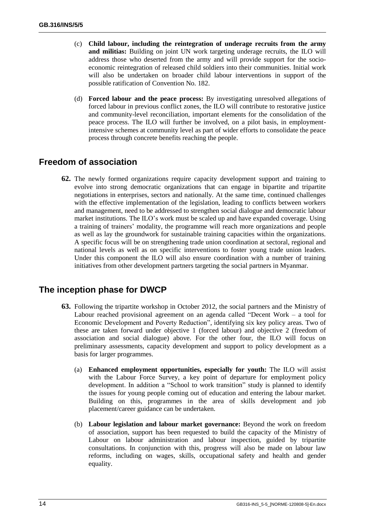- (c) **Child labour, including the reintegration of underage recruits from the army and militias:** Building on joint UN work targeting underage recruits, the ILO will address those who deserted from the army and will provide support for the socioeconomic reintegration of released child soldiers into their communities. Initial work will also be undertaken on broader child labour interventions in support of the possible ratification of Convention No. 182.
- (d) **Forced labour and the peace process:** By investigating unresolved allegations of forced labour in previous conflict zones, the ILO will contribute to restorative justice and community-level reconciliation, important elements for the consolidation of the peace process. The ILO will further be involved, on a pilot basis, in employmentintensive schemes at community level as part of wider efforts to consolidate the peace process through concrete benefits reaching the people.

## **Freedom of association**

**62.** The newly formed organizations require capacity development support and training to evolve into strong democratic organizations that can engage in bipartite and tripartite negotiations in enterprises, sectors and nationally. At the same time, continued challenges with the effective implementation of the legislation, leading to conflicts between workers and management, need to be addressed to strengthen social dialogue and democratic labour market institutions. The ILO's work must be scaled up and have expanded coverage. Using a training of trainers' modality, the programme will reach more organizations and people as well as lay the groundwork for sustainable training capacities within the organizations. A specific focus will be on strengthening trade union coordination at sectoral, regional and national levels as well as on specific interventions to foster young trade union leaders. Under this component the ILO will also ensure coordination with a number of training initiatives from other development partners targeting the social partners in Myanmar.

## **The inception phase for DWCP**

- **63.** Following the tripartite workshop in October 2012, the social partners and the Ministry of Labour reached provisional agreement on an agenda called "Decent Work – a tool for Economic Development and Poverty Reduction", identifying six key policy areas. Two of these are taken forward under objective 1 (forced labour) and objective 2 (freedom of association and social dialogue) above. For the other four, the ILO will focus on preliminary assessments, capacity development and support to policy development as a basis for larger programmes.
	- (a) **Enhanced employment opportunities, especially for youth:** The ILO will assist with the Labour Force Survey, a key point of departure for employment policy development. In addition a "School to work transition" study is planned to identify the issues for young people coming out of education and entering the labour market. Building on this, programmes in the area of skills development and job placement/career guidance can be undertaken.
	- (b) **Labour legislation and labour market governance:** Beyond the work on freedom of association, support has been requested to build the capacity of the Ministry of Labour on labour administration and labour inspection, guided by tripartite consultations. In conjunction with this, progress will also be made on labour law reforms, including on wages, skills, occupational safety and health and gender equality.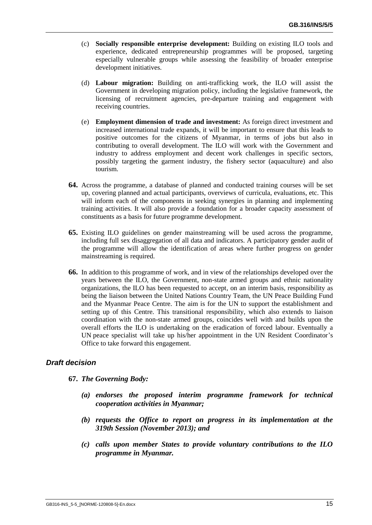- (c) **Socially responsible enterprise development:** Building on existing ILO tools and experience, dedicated entrepreneurship programmes will be proposed, targeting especially vulnerable groups while assessing the feasibility of broader enterprise development initiatives.
- (d) **Labour migration:** Building on anti-trafficking work, the ILO will assist the Government in developing migration policy, including the legislative framework, the licensing of recruitment agencies, pre-departure training and engagement with receiving countries.
- (e) **Employment dimension of trade and investment:** As foreign direct investment and increased international trade expands, it will be important to ensure that this leads to positive outcomes for the citizens of Myanmar, in terms of jobs but also in contributing to overall development. The ILO will work with the Government and industry to address employment and decent work challenges in specific sectors, possibly targeting the garment industry, the fishery sector (aquaculture) and also tourism.
- **64.** Across the programme, a database of planned and conducted training courses will be set up, covering planned and actual participants, overviews of curricula, evaluations, etc. This will inform each of the components in seeking synergies in planning and implementing training activities. It will also provide a foundation for a broader capacity assessment of constituents as a basis for future programme development.
- **65.** Existing ILO guidelines on gender mainstreaming will be used across the programme, including full sex disaggregation of all data and indicators. A participatory gender audit of the programme will allow the identification of areas where further progress on gender mainstreaming is required.
- **66.** In addition to this programme of work, and in view of the relationships developed over the years between the ILO, the Government, non-state armed groups and ethnic nationality organizations, the ILO has been requested to accept, on an interim basis, responsibility as being the liaison between the United Nations Country Team, the UN Peace Building Fund and the Myanmar Peace Centre. The aim is for the UN to support the establishment and setting up of this Centre. This transitional responsibility, which also extends to liaison coordination with the non-state armed groups, coincides well with and builds upon the overall efforts the ILO is undertaking on the eradication of forced labour. Eventually a UN peace specialist will take up his/her appointment in the UN Resident Coordinator's Office to take forward this engagement.

#### *Draft decision*

#### **67.** *The Governing Body:*

- *(a) endorses the proposed interim programme framework for technical cooperation activities in Myanmar;*
- *(b) requests the Office to report on progress in its implementation at the 319th Session (November 2013); and*
- *(c) calls upon member States to provide voluntary contributions to the ILO programme in Myanmar.*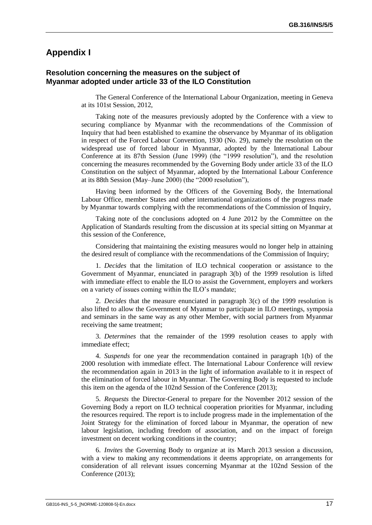### **Appendix I**

#### **Resolution concerning the measures on the subject of Myanmar adopted under article 33 of the ILO Constitution**

The General Conference of the International Labour Organization, meeting in Geneva at its 101st Session, 2012,

Taking note of the measures previously adopted by the Conference with a view to securing compliance by Myanmar with the recommendations of the Commission of Inquiry that had been established to examine the observance by Myanmar of its obligation in respect of the Forced Labour Convention, 1930 (No. 29), namely the resolution on the widespread use of forced labour in Myanmar, adopted by the International Labour Conference at its 87th Session (June 1999) (the "1999 resolution"), and the resolution concerning the measures recommended by the Governing Body under article 33 of the ILO Constitution on the subject of Myanmar, adopted by the International Labour Conference at its 88th Session (May–June 2000) (the "2000 resolution"),

Having been informed by the Officers of the Governing Body, the International Labour Office, member States and other international organizations of the progress made by Myanmar towards complying with the recommendations of the Commission of Inquiry,

Taking note of the conclusions adopted on 4 June 2012 by the Committee on the Application of Standards resulting from the discussion at its special sitting on Myanmar at this session of the Conference,

Considering that maintaining the existing measures would no longer help in attaining the desired result of compliance with the recommendations of the Commission of Inquiry;

1. *Decides* that the limitation of ILO technical cooperation or assistance to the Government of Myanmar, enunciated in paragraph 3(b) of the 1999 resolution is lifted with immediate effect to enable the ILO to assist the Government, employers and workers on a variety of issues coming within the ILO's mandate;

2. *Decides* that the measure enunciated in paragraph 3(c) of the 1999 resolution is also lifted to allow the Government of Myanmar to participate in ILO meetings, symposia and seminars in the same way as any other Member, with social partners from Myanmar receiving the same treatment;

3. *Determines* that the remainder of the 1999 resolution ceases to apply with immediate effect;

4. *Suspends* for one year the recommendation contained in paragraph 1(b) of the 2000 resolution with immediate effect. The International Labour Conference will review the recommendation again in 2013 in the light of information available to it in respect of the elimination of forced labour in Myanmar. The Governing Body is requested to include this item on the agenda of the 102nd Session of the Conference (2013);

5. *Requests* the Director-General to prepare for the November 2012 session of the Governing Body a report on ILO technical cooperation priorities for Myanmar, including the resources required. The report is to include progress made in the implementation of the Joint Strategy for the elimination of forced labour in Myanmar, the operation of new labour legislation, including freedom of association, and on the impact of foreign investment on decent working conditions in the country;

6. *Invites* the Governing Body to organize at its March 2013 session a discussion, with a view to making any recommendations it deems appropriate, on arrangements for consideration of all relevant issues concerning Myanmar at the 102nd Session of the Conference (2013);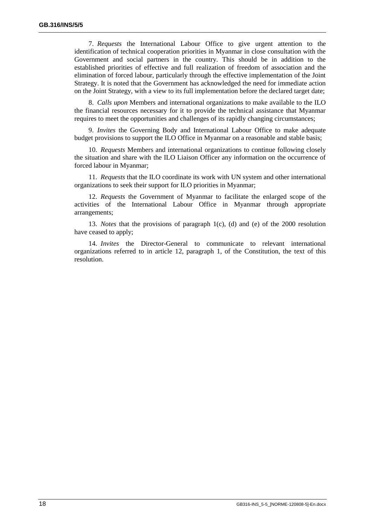7. *Requests* the International Labour Office to give urgent attention to the identification of technical cooperation priorities in Myanmar in close consultation with the Government and social partners in the country. This should be in addition to the established priorities of effective and full realization of freedom of association and the elimination of forced labour, particularly through the effective implementation of the Joint Strategy. It is noted that the Government has acknowledged the need for immediate action on the Joint Strategy, with a view to its full implementation before the declared target date;

8. *Calls upon* Members and international organizations to make available to the ILO the financial resources necessary for it to provide the technical assistance that Myanmar requires to meet the opportunities and challenges of its rapidly changing circumstances;

9. *Invites* the Governing Body and International Labour Office to make adequate budget provisions to support the ILO Office in Myanmar on a reasonable and stable basis;

10. *Requests* Members and international organizations to continue following closely the situation and share with the ILO Liaison Officer any information on the occurrence of forced labour in Myanmar;

11. *Requests* that the ILO coordinate its work with UN system and other international organizations to seek their support for ILO priorities in Myanmar;

12. *Requests* the Government of Myanmar to facilitate the enlarged scope of the activities of the International Labour Office in Myanmar through appropriate arrangements;

13. *Notes* that the provisions of paragraph 1(c), (d) and (e) of the 2000 resolution have ceased to apply;

14. *Invites* the Director-General to communicate to relevant international organizations referred to in article 12, paragraph 1, of the Constitution, the text of this resolution.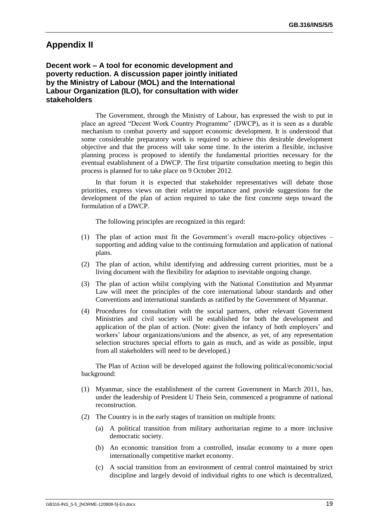## **Appendix II**

**Decent work – A tool for economic development and poverty reduction. A discussion paper jointly initiated by the Ministry of Labour (MOL) and the International Labour Organization (ILO), for consultation with wider stakeholders**

> The Government, through the Ministry of Labour, has expressed the wish to put in place an agreed "Decent Work Country Programme" (DWCP), as it is seen as a durable mechanism to combat poverty and support economic development. It is understood that some considerable preparatory work is required to achieve this desirable development objective and that the process will take some time. In the interim a flexible, inclusive planning process is proposed to identify the fundamental priorities necessary for the eventual establishment of a DWCP. The first tripartite consultation meeting to begin this process is planned for to take place on 9 October 2012.

> In that forum it is expected that stakeholder representatives will debate those priorities, express views on their relative importance and provide suggestions for the development of the plan of action required to take the first concrete steps toward the formulation of a DWCP.

The following principles are recognized in this regard:

- (1) The plan of action must fit the Government's overall macro-policy objectives supporting and adding value to the continuing formulation and application of national plans.
- (2) The plan of action, whilst identifying and addressing current priorities, must be a living document with the flexibility for adaption to inevitable ongoing change.
- (3) The plan of action whilst complying with the National Constitution and Myanmar Law will meet the principles of the core international labour standards and other Conventions and international standards as ratified by the Government of Myanmar.
- (4) Procedures for consultation with the social partners, other relevant Government Ministries and civil society will be established for both the development and application of the plan of action. (Note: given the infancy of both employers' and workers' labour organizations/unions and the absence, as yet, of any representation selection structures special efforts to gain as much, and as wide as possible, input from all stakeholders will need to be developed.)

The Plan of Action will be developed against the following political/economic/social background:

- (1) Myanmar, since the establishment of the current Government in March 2011, has, under the leadership of President U Thein Sein, commenced a programme of national reconstruction.
- (2) The Country is in the early stages of transition on multiple fronts:
	- (a) A political transition from military authoritarian regime to a more inclusive democratic society.
	- (b) An economic transition from a controlled, insular economy to a more open internationally competitive market economy.
	- (c) A social transition from an environment of central control maintained by strict discipline and largely devoid of individual rights to one which is decentralized,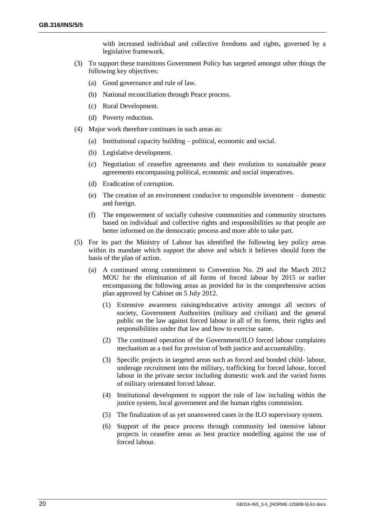with increased individual and collective freedoms and rights, governed by a legislative framework.

- (3) To support these transitions Government Policy has targeted amongst other things the following key objectives:
	- (a) Good governance and rule of law.
	- (b) National reconciliation through Peace process.
	- (c) Rural Development.
	- (d) Poverty reduction.
- (4) Major work therefore continues in such areas as:
	- (a) Institutional capacity building political, economic and social.
	- (b) Legislative development.
	- (c) Negotiation of ceasefire agreements and their evolution to sustainable peace agreements encompassing political, economic and social imperatives.
	- (d) Eradication of corruption.
	- (e) The creation of an environment conducive to responsible investment domestic and foreign.
	- (f) The empowerment of socially cohesive communities and community structures based on individual and collective rights and responsibilities so that people are better informed on the democratic process and more able to take part.
- (5) For its part the Ministry of Labour has identified the following key policy areas within its mandate which support the above and which it believes should form the basis of the plan of action.
	- (a) A continued strong commitment to Convention No. 29 and the March 2012 MOU for the elimination of all forms of forced labour by 2015 or earlier encompassing the following areas as provided for in the comprehensive action plan approved by Cabinet on 5 July 2012.
		- (1) Extensive awareness raising/educative activity amongst all sectors of society, Government Authorities (military and civilian) and the general public on the law against forced labour in all of its forms, their rights and responsibilities under that law and how to exercise same.
		- (2) The continued operation of the Government/ILO forced labour complaints mechanism as a tool for provision of both justice and accountability.
		- (3) Specific projects in targeted areas such as forced and bonded child- labour, underage recruitment into the military, trafficking for forced labour, forced labour in the private sector including domestic work and the varied forms of military orientated forced labour.
		- (4) Institutional development to support the rule of law including within the justice system, local government and the human rights commission.
		- (5) The finalization of as yet unanswered cases in the ILO supervisory system.
		- (6) Support of the peace process through community led intensive labour projects in ceasefire areas as best practice modelling against the use of forced labour.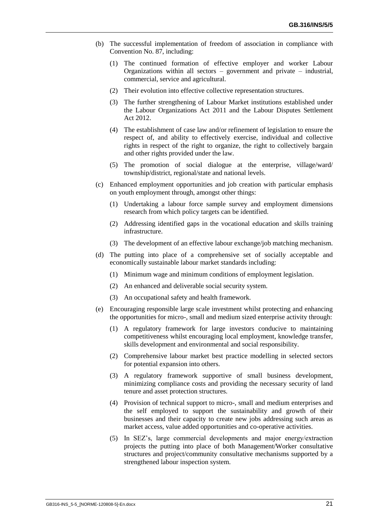- (b) The successful implementation of freedom of association in compliance with Convention No. 87, including:
	- (1) The continued formation of effective employer and worker Labour Organizations within all sectors – government and private – industrial, commercial, service and agricultural.
	- (2) Their evolution into effective collective representation structures.
	- (3) The further strengthening of Labour Market institutions established under the Labour Organizations Act 2011 and the Labour Disputes Settlement Act 2012.
	- (4) The establishment of case law and/or refinement of legislation to ensure the respect of, and ability to effectively exercise, individual and collective rights in respect of the right to organize, the right to collectively bargain and other rights provided under the law.
	- (5) The promotion of social dialogue at the enterprise, village/ward/ township/district, regional/state and national levels.
- (c) Enhanced employment opportunities and job creation with particular emphasis on youth employment through, amongst other things:
	- (1) Undertaking a labour force sample survey and employment dimensions research from which policy targets can be identified.
	- (2) Addressing identified gaps in the vocational education and skills training infrastructure.
	- (3) The development of an effective labour exchange/job matching mechanism.
- (d) The putting into place of a comprehensive set of socially acceptable and economically sustainable labour market standards including:
	- (1) Minimum wage and minimum conditions of employment legislation.
	- (2) An enhanced and deliverable social security system.
	- (3) An occupational safety and health framework.
- (e) Encouraging responsible large scale investment whilst protecting and enhancing the opportunities for micro-, small and medium sized enterprise activity through:
	- (1) A regulatory framework for large investors conducive to maintaining competitiveness whilst encouraging local employment, knowledge transfer, skills development and environmental and social responsibility.
	- (2) Comprehensive labour market best practice modelling in selected sectors for potential expansion into others.
	- (3) A regulatory framework supportive of small business development, minimizing compliance costs and providing the necessary security of land tenure and asset protection structures.
	- (4) Provision of technical support to micro-, small and medium enterprises and the self employed to support the sustainability and growth of their businesses and their capacity to create new jobs addressing such areas as market access, value added opportunities and co-operative activities.
	- (5) In SEZ's, large commercial developments and major energy/extraction projects the putting into place of both Management/Worker consultative structures and project/community consultative mechanisms supported by a strengthened labour inspection system.